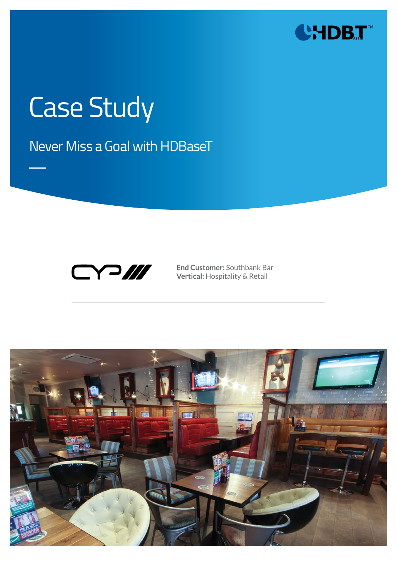

# Case Study

Never Miss a Goal with HDBaseT



**End Customer:** Southbank Bar **Vertical:** Hospitality & Retail